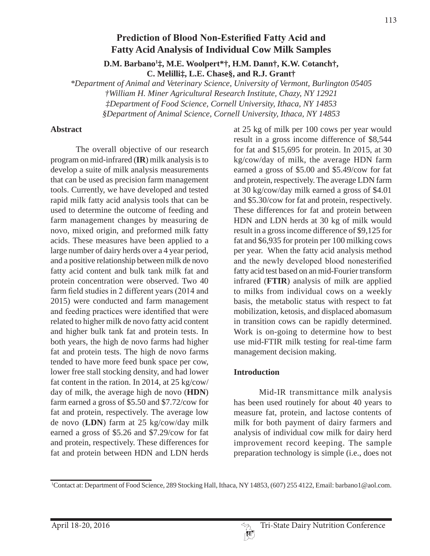# **Prediction of Blood Non-Esterified Fatty Acid and Fatty Acid Analysis of Individual Cow Milk Samples**

**D.M. Barbano1 ‡, M.E. Woolpert\*†, H.M. Dann†, K.W. Cotanch†, C. Melilli‡, L.E. Chase§, and R.J. Grant†**

*\*Department of Animal and Veterinary Science, University of Vermont, Burlington 05405 †William H. Miner Agricultural Research Institute, Chazy, NY 12921 ‡Department of Food Science, Cornell University, Ithaca, NY 14853 §Department of Animal Science, Cornell University, Ithaca, NY 14853*

#### **Abstract**

The overall objective of our research program on mid-infrared (**IR**) milk analysis is to develop a suite of milk analysis measurements that can be used as precision farm management tools. Currently, we have developed and tested rapid milk fatty acid analysis tools that can be used to determine the outcome of feeding and farm management changes by measuring de novo, mixed origin, and preformed milk fatty acids. These measures have been applied to a large number of dairy herds over a 4 year period, and a positive relationship between milk de novo fatty acid content and bulk tank milk fat and protein concentration were observed. Two 40 farm field studies in 2 different years  $(2014$  and 2015) were conducted and farm management and feeding practices were identified that were related to higher milk de novo fatty acid content and higher bulk tank fat and protein tests. In both years, the high de novo farms had higher fat and protein tests. The high de novo farms tended to have more feed bunk space per cow, lower free stall stocking density, and had lower fat content in the ration. In 2014, at 25 kg/cow/ day of milk, the average high de novo (**HDN**) farm earned a gross of \$5.50 and \$7.72/cow for fat and protein, respectively. The average low de novo (**LDN**) farm at 25 kg/cow/day milk earned a gross of \$5.26 and \$7.29/cow for fat and protein, respectively. These differences for fat and protein between HDN and LDN herds

at 25 kg of milk per 100 cows per year would result in a gross income difference of \$8,544 for fat and \$15,695 for protein. In 2015, at 30 kg/cow/day of milk, the average HDN farm earned a gross of \$5.00 and \$5.49/cow for fat and protein, respectively. The average LDN farm at 30 kg/cow/day milk earned a gross of \$4.01 and \$5.30/cow for fat and protein, respectively. These differences for fat and protein between HDN and LDN herds at 30 kg of milk would result in a gross income difference of \$9,125 for fat and \$6,935 for protein per 100 milking cows per year. When the fatty acid analysis method and the newly developed blood nonesterified fatty acid test based on an mid-Fourier transform infrared (**FTIR**) analysis of milk are applied to milks from individual cows on a weekly basis, the metabolic status with respect to fat mobilization, ketosis, and displaced abomasum in transition cows can be rapidly determined. Work is on-going to determine how to best use mid-FTIR milk testing for real-time farm management decision making.

# **Introduction**

Mid-IR transmittance milk analysis has been used routinely for about 40 years to measure fat, protein, and lactose contents of milk for both payment of dairy farmers and analysis of individual cow milk for dairy herd improvement record keeping. The sample preparation technology is simple (i.e., does not

<sup>1</sup> Contact at: Department of Food Science, 289 Stocking Hall, Ithaca, NY 14853, (607) 255 4122, Email: barbano1@aol.com.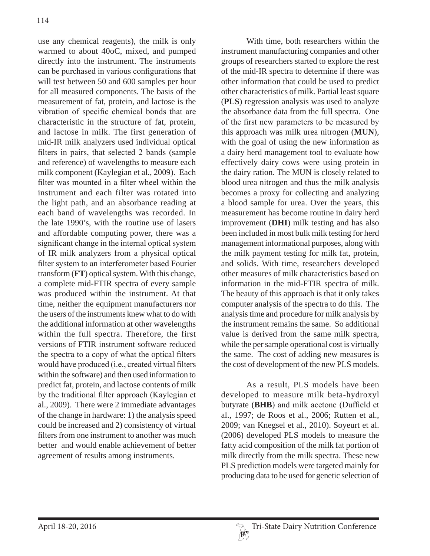use any chemical reagents), the milk is only warmed to about 40oC, mixed, and pumped directly into the instrument. The instruments can be purchased in various configurations that will test between 50 and 600 samples per hour for all measured components. The basis of the measurement of fat, protein, and lactose is the vibration of specific chemical bonds that are characteristic in the structure of fat, protein, and lactose in milk. The first generation of mid-IR milk analyzers used individual optical filters in pairs, that selected 2 bands (sample and reference) of wavelengths to measure each milk component (Kaylegian et al., 2009). Each filter was mounted in a filter wheel within the instrument and each filter was rotated into the light path, and an absorbance reading at each band of wavelengths was recorded. In the late 1990's, with the routine use of lasers and affordable computing power, there was a significant change in the internal optical system of IR milk analyzers from a physical optical filter system to an interferometer based Fourier transform (**FT**) optical system. With this change, a complete mid-FTIR spectra of every sample was produced within the instrument. At that time, neither the equipment manufacturers nor the users of the instruments knew what to do with the additional information at other wavelengths within the full spectra. Therefore, the first versions of FTIR instrument software reduced the spectra to a copy of what the optical filters would have produced (i.e., created virtual filters within the software) and then used information to predict fat, protein, and lactose contents of milk by the traditional filter approach (Kaylegian et al., 2009). There were 2 immediate advantages of the change in hardware: 1) the analysis speed could be increased and 2) consistency of virtual filters from one instrument to another was much better and would enable achievement of better agreement of results among instruments.

With time, both researchers within the instrument manufacturing companies and other groups of researchers started to explore the rest of the mid-IR spectra to determine if there was other information that could be used to predict other characteristics of milk. Partial least square (**PLS**) regression analysis was used to analyze the absorbance data from the full spectra. One of the first new parameters to be measured by this approach was milk urea nitrogen (**MUN**), with the goal of using the new information as a dairy herd management tool to evaluate how effectively dairy cows were using protein in the dairy ration. The MUN is closely related to blood urea nitrogen and thus the milk analysis becomes a proxy for collecting and analyzing a blood sample for urea. Over the years, this measurement has become routine in dairy herd improvement (**DHI**) milk testing and has also been included in most bulk milk testing for herd management informational purposes, along with the milk payment testing for milk fat, protein, and solids. With time, researchers developed other measures of milk characteristics based on information in the mid-FTIR spectra of milk. The beauty of this approach is that it only takes computer analysis of the spectra to do this. The analysis time and procedure for milk analysis by the instrument remains the same. So additional value is derived from the same milk spectra, while the per sample operational cost is virtually the same. The cost of adding new measures is the cost of development of the new PLS models.

As a result, PLS models have been developed to measure milk beta-hydroxyl butyrate (BHB) and milk acetone (Duffield et al., 1997; de Roos et al., 2006; Rutten et al., 2009; van Knegsel et al., 2010). Soyeurt et al. (2006) developed PLS models to measure the fatty acid composition of the milk fat portion of milk directly from the milk spectra. These new PLS prediction models were targeted mainly for producing data to be used for genetic selection of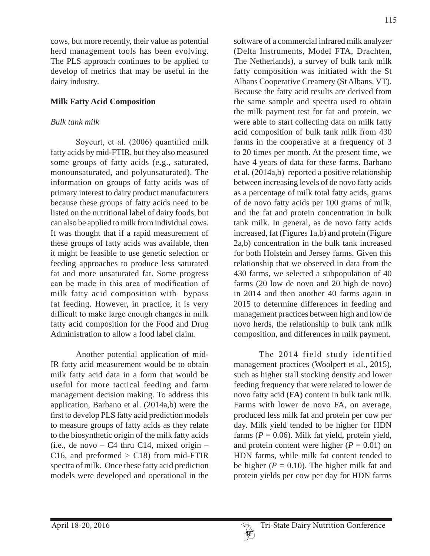cows, but more recently, their value as potential herd management tools has been evolving. The PLS approach continues to be applied to develop of metrics that may be useful in the dairy industry.

#### **Milk Fatty Acid Composition**

## *Bulk tank milk*

Soyeurt, et al. (2006) quantified milk fatty acids by mid-FTIR, but they also measured some groups of fatty acids (e.g., saturated, monounsaturated, and polyunsaturated). The information on groups of fatty acids was of primary interest to dairy product manufacturers because these groups of fatty acids need to be listed on the nutritional label of dairy foods, but can also be applied to milk from individual cows. It was thought that if a rapid measurement of these groups of fatty acids was available, then it might be feasible to use genetic selection or feeding approaches to produce less saturated fat and more unsaturated fat. Some progress can be made in this area of modification of milk fatty acid composition with bypass fat feeding. However, in practice, it is very difficult to make large enough changes in milk fatty acid composition for the Food and Drug Administration to allow a food label claim.

Another potential application of mid-IR fatty acid measurement would be to obtain milk fatty acid data in a form that would be useful for more tactical feeding and farm management decision making. To address this application, Barbano et al. (2014a,b) were the first to develop PLS fatty acid prediction models to measure groups of fatty acids as they relate to the biosynthetic origin of the milk fatty acids (i.e., de novo – C4 thru C14, mixed origin – C16, and preformed  $>$  C18) from mid-FTIR spectra of milk. Once these fatty acid prediction models were developed and operational in the

software of a commercial infrared milk analyzer (Delta Instruments, Model FTA, Drachten, The Netherlands), a survey of bulk tank milk fatty composition was initiated with the St Albans Cooperative Creamery (St Albans, VT). Because the fatty acid results are derived from the same sample and spectra used to obtain the milk payment test for fat and protein, we were able to start collecting data on milk fatty acid composition of bulk tank milk from 430 farms in the cooperative at a frequency of 3 to 20 times per month. At the present time, we have 4 years of data for these farms. Barbano et al. (2014a,b) reported a positive relationship between increasing levels of de novo fatty acids as a percentage of milk total fatty acids, grams of de novo fatty acids per 100 grams of milk, and the fat and protein concentration in bulk tank milk. In general, as de novo fatty acids increased, fat (Figures 1a,b) and protein (Figure 2a,b) concentration in the bulk tank increased for both Holstein and Jersey farms. Given this relationship that we observed in data from the 430 farms, we selected a subpopulation of 40 farms (20 low de novo and 20 high de novo) in 2014 and then another 40 farms again in 2015 to determine differences in feeding and management practices between high and low de novo herds, the relationship to bulk tank milk composition, and differences in milk payment.

The 2014 field study identified management practices (Woolpert et al., 2015), such as higher stall stocking density and lower feeding frequency that were related to lower de novo fatty acid (**FA**) content in bulk tank milk. Farms with lower de novo FA, on average, produced less milk fat and protein per cow per day. Milk yield tended to be higher for HDN farms  $(P = 0.06)$ . Milk fat yield, protein yield, and protein content were higher  $(P = 0.01)$  on HDN farms, while milk fat content tended to be higher ( $P = 0.10$ ). The higher milk fat and protein yields per cow per day for HDN farms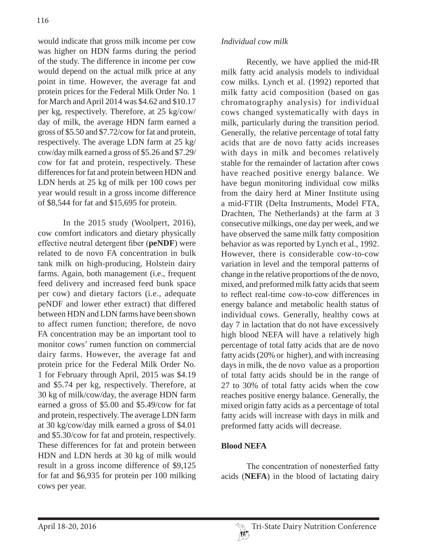would indicate that gross milk income per cow was higher on HDN farms during the period of the study. The difference in income per cow would depend on the actual milk price at any point in time. However, the average fat and protein prices for the Federal Milk Order No. 1 for March and April 2014 was \$4.62 and \$10.17 per kg, respectively. Therefore, at 25 kg/cow/ day of milk, the average HDN farm earned a gross of \$5.50 and \$7.72/cow for fat and protein, respectively. The average LDN farm at 25 kg/ cow/day milk earned a gross of \$5.26 and \$7.29/ cow for fat and protein, respectively. These differences for fat and protein between HDN and LDN herds at 25 kg of milk per 100 cows per year would result in a gross income difference of \$8,544 for fat and \$15,695 for protein.

In the 2015 study (Woolpert, 2016), cow comfort indicators and dietary physically effective neutral detergent fiber (peNDF) were related to de novo FA concentration in bulk tank milk on high-producing, Holstein dairy farms. Again, both management (i.e., frequent feed delivery and increased feed bunk space per cow) and dietary factors (i.e., adequate peNDF and lower ether extract) that differed between HDN and LDN farms have been shown to affect rumen function; therefore, de novo FA concentration may be an important tool to monitor cows' rumen function on commercial dairy farms. However, the average fat and protein price for the Federal Milk Order No. 1 for February through April, 2015 was \$4.19 and \$5.74 per kg, respectively. Therefore, at 30 kg of milk/cow/day, the average HDN farm earned a gross of \$5.00 and \$5.49/cow for fat and protein, respectively. The average LDN farm at 30 kg/cow/day milk earned a gross of \$4.01 and \$5.30/cow for fat and protein, respectively. These differences for fat and protein between HDN and LDN herds at 30 kg of milk would result in a gross income difference of \$9,125 for fat and \$6,935 for protein per 100 milking cows per year.

#### *Individual cow milk*

Recently, we have applied the mid-IR milk fatty acid analysis models to individual cow milks. Lynch et al. (1992) reported that milk fatty acid composition (based on gas chromatography analysis) for individual cows changed systematically with days in milk, particularly during the transition period. Generally, the relative percentage of total fatty acids that are de novo fatty acids increases with days in milk and becomes relatively stable for the remainder of lactation after cows have reached positive energy balance. We have begun monitoring individual cow milks from the dairy herd at Miner Institute using a mid-FTIR (Delta Instruments, Model FTA, Drachten, The Netherlands) at the farm at 3 consecutive milkings, one day per week, and we have observed the same milk fatty composition behavior as was reported by Lynch et al., 1992. However, there is considerable cow-to-cow variation in level and the temporal patterns of change in the relative proportions of the de novo, mixed, and preformed milk fatty acids that seem to reflect real-time cow-to-cow differences in energy balance and metabolic health status of individual cows. Generally, healthy cows at day 7 in lactation that do not have excessively high blood NEFA will have a relatively high percentage of total fatty acids that are de novo fatty acids (20% or higher), and with increasing days in milk, the de novo value as a proportion of total fatty acids should be in the range of 27 to 30% of total fatty acids when the cow reaches positive energy balance. Generally, the mixed origin fatty acids as a percentage of total fatty acids will increase with days in milk and preformed fatty acids will decrease.

# **Blood NEFA**

The concentration of nonesterfied fatty acids (**NEFA**) in the blood of lactating dairy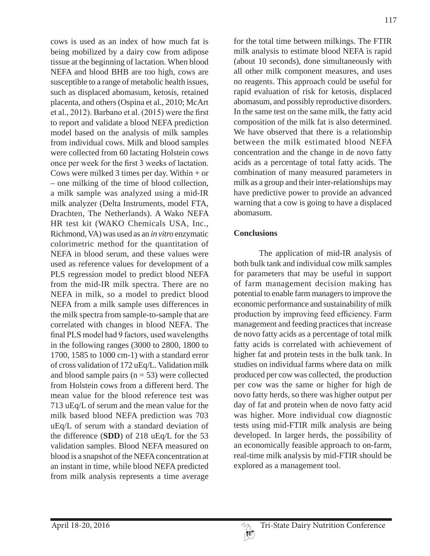cows is used as an index of how much fat is being mobilized by a dairy cow from adipose tissue at the beginning of lactation. When blood NEFA and blood BHB are too high, cows are susceptible to a range of metabolic health issues, such as displaced abomasum, ketosis, retained placenta, and others (Ospina et al., 2010; McArt et al., 2012). Barbano et al.  $(2015)$  were the first to report and validate a blood NEFA prediction model based on the analysis of milk samples from individual cows. Milk and blood samples were collected from 60 lactating Holstein cows once per week for the first 3 weeks of lactation. Cows were milked 3 times per day. Within  $+$  or – one milking of the time of blood collection, a milk sample was analyzed using a mid-IR milk analyzer (Delta Instruments, model FTA, Drachten, The Netherlands). A Wako NEFA HR test kit (WAKO Chemicals USA, Inc., Richmond, VA) was used as an *in vitro* enzymatic colorimetric method for the quantitation of NEFA in blood serum, and these values were used as reference values for development of a PLS regression model to predict blood NEFA from the mid-IR milk spectra. There are no NEFA in milk, so a model to predict blood NEFA from a milk sample uses differences in the milk spectra from sample-to-sample that are correlated with changes in blood NEFA. The final PLS model had 9 factors, used wavelengths in the following ranges (3000 to 2800, 1800 to 1700, 1585 to 1000 cm-1) with a standard error of cross validation of 172 uEq/L. Validation milk and blood sample pairs  $(n = 53)$  were collected from Holstein cows from a different herd. The mean value for the blood reference test was 713 uEq/L of serum and the mean value for the milk based blood NEFA prediction was 703 uEq/L of serum with a standard deviation of the difference (**SDD**) of 218 uEq/L for the 53 validation samples. Blood NEFA measured on blood is a snapshot of the NEFA concentration at an instant in time, while blood NEFA predicted from milk analysis represents a time average

for the total time between milkings. The FTIR milk analysis to estimate blood NEFA is rapid (about 10 seconds), done simultaneously with all other milk component measures, and uses no reagents. This approach could be useful for rapid evaluation of risk for ketosis, displaced abomasum, and possibly reproductive disorders. In the same test on the same milk, the fatty acid composition of the milk fat is also determined. We have observed that there is a relationship between the milk estimated blood NEFA concentration and the change in de novo fatty acids as a percentage of total fatty acids. The combination of many measured parameters in milk as a group and their inter-relationships may have predictive power to provide an advanced warning that a cow is going to have a displaced abomasum.

# **Conclusions**

The application of mid-IR analysis of both bulk tank and individual cow milk samples for parameters that may be useful in support of farm management decision making has potential to enable farm managers to improve the economic performance and sustainability of milk production by improving feed efficiency. Farm management and feeding practices that increase de novo fatty acids as a percentage of total milk fatty acids is correlated with achievement of higher fat and protein tests in the bulk tank. In studies on individual farms where data on milk produced per cow was collected, the production per cow was the same or higher for high de novo fatty herds, so there was higher output per day of fat and protein when de novo fatty acid was higher. More individual cow diagnostic tests using mid-FTIR milk analysis are being developed. In larger herds, the possibility of an economically feasible approach to on-farm, real-time milk analysis by mid-FTIR should be explored as a management tool.

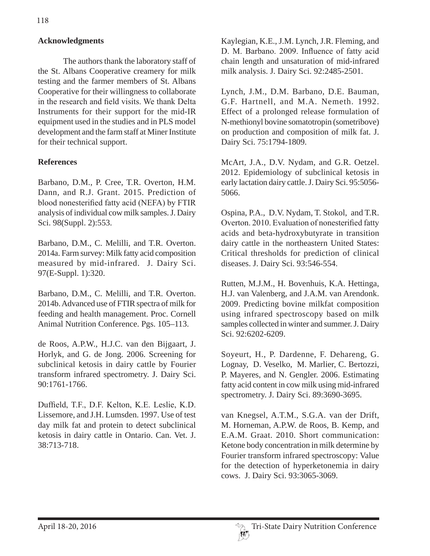## **Acknowledgments**

The authors thank the laboratory staff of the St. Albans Cooperative creamery for milk testing and the farmer members of St. Albans Cooperative for their willingness to collaborate in the research and field visits. We thank Delta Instruments for their support for the mid-IR equipment used in the studies and in PLS model development and the farm staff at Miner Institute for their technical support.

#### **References**

Barbano, D.M., P. Cree, T.R. Overton, H.M. Dann, and R.J. Grant. 2015. Prediction of blood nonesterified fatty acid (NEFA) by FTIR analysis of individual cow milk samples. J. Dairy Sci. 98(Suppl. 2):553.

Barbano, D.M., C. Melilli, and T.R. Overton. 2014a. Farm survey: Milk fatty acid composition measured by mid-infrared. J. Dairy Sci. 97(E-Suppl. 1):320.

Barbano, D.M., C. Melilli, and T.R. Overton. 2014b. Advanced use of FTIR spectra of milk for feeding and health management. Proc. Cornell Animal Nutrition Conference. Pgs. 105–113.

de Roos, A.P.W., H.J.C. van den Bijgaart, J. Horlyk, and G. de Jong. 2006. Screening for subclinical ketosis in dairy cattle by Fourier transform infrared spectrometry. J. Dairy Sci. 90:1761-1766.

Duffield, T.F., D.F. Kelton, K.E. Leslie, K.D. Lissemore, and J.H. Lumsden. 1997. Use of test day milk fat and protein to detect subclinical ketosis in dairy cattle in Ontario. Can. Vet. J. 38:713-718.

Kaylegian, K.E., J.M. Lynch, J.R. Fleming, and D. M. Barbano. 2009. Influence of fatty acid chain length and unsaturation of mid-infrared milk analysis. J. Dairy Sci. 92:2485-2501.

Lynch, J.M., D.M. Barbano, D.E. Bauman, G.F. Hartnell, and M.A. Nemeth. 1992. Effect of a prolonged release formulation of N-methionyl bovine somatotropin (sometribove) on production and composition of milk fat. J. Dairy Sci. 75:1794-1809.

McArt, J.A., D.V. Nydam, and G.R. Oetzel. 2012. Epidemiology of subclinical ketosis in early lactation dairy cattle. J. Dairy Sci. 95:5056- 5066.

Ospina, P.A., D.V. Nydam, T. Stokol, and T.R. Overton. 2010. Evaluation of nonesterified fatty acids and beta-hydroxybutyrate in transition dairy cattle in the northeastern United States: Critical thresholds for prediction of clinical diseases. J. Dairy Sci. 93:546-554.

Rutten, M.J.M., H. Bovenhuis, K.A. Hettinga, H.J. van Valenberg, and J.A.M. van Arendonk. 2009. Predicting bovine milkfat composition using infrared spectroscopy based on milk samples collected in winter and summer. J. Dairy Sci. 92:6202-6209.

Soyeurt, H., P. Dardenne, F. Dehareng, G. Lognay, D. Veselko, M. Marlier, C. Bertozzi, P. Mayeres, and N. Gengler. 2006. Estimating fatty acid content in cow milk using mid-infrared spectrometry. J. Dairy Sci. 89:3690-3695.

van Knegsel, A.T.M., S.G.A. van der Drift, M. Horneman, A.P.W. de Roos, B. Kemp, and E.A.M. Graat. 2010. Short communication: Ketone body concentration in milk determine by Fourier transform infrared spectroscopy: Value for the detection of hyperketonemia in dairy cows. J. Dairy Sci. 93:3065-3069.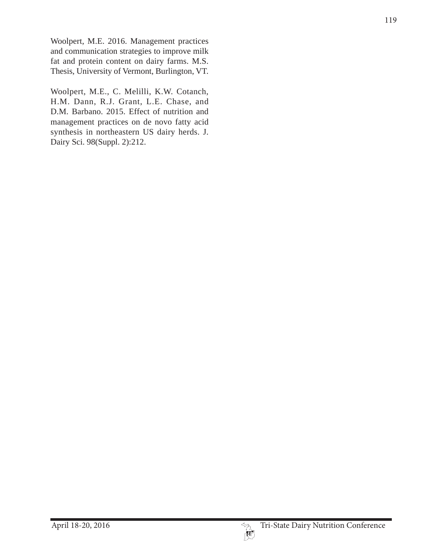Woolpert, M.E. 2016. Management practices and communication strategies to improve milk fat and protein content on dairy farms. M.S. Thesis, University of Vermont, Burlington, VT.

Woolpert, M.E., C. Melilli, K.W. Cotanch, H.M. Dann, R.J. Grant, L.E. Chase, and D.M. Barbano. 2015. Effect of nutrition and management practices on de novo fatty acid synthesis in northeastern US dairy herds. J. Dairy Sci. 98(Suppl. 2):212.

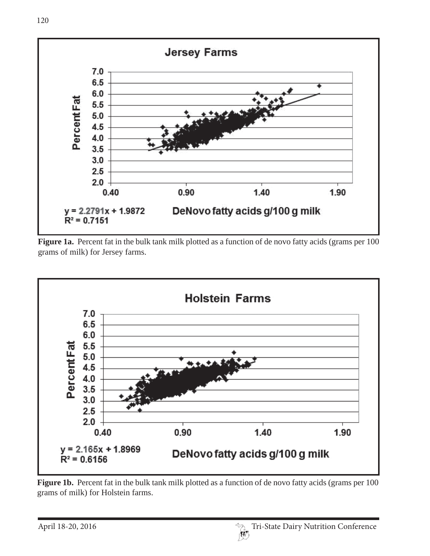

Figure 1a. Percent fat in the bulk tank milk plotted as a function of de novo fatty acids (grams per 100 grams of milk) for Jersey farms.



**Figure 1b.** Percent fat in the bulk tank milk plotted as a function of de novo fatty acids (grams per 100) grams of milk) for Holstein farms.